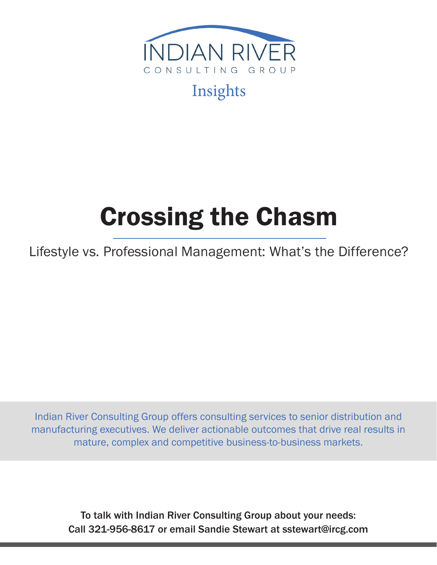

# Insights

# Crossing the Chasm

Lifestyle vs. Professional Management: What's the Difference?

Indian River Consulting Group offers consulting services to senior distribution and manufacturing executives. We deliver actionable outcomes that drive real results in mature, complex and competitive business-to-business markets.

To talk with Indian River Consulting Group about your needs: Call 321-956-8617 or email Sandie Stewart at sstewart@ircg.com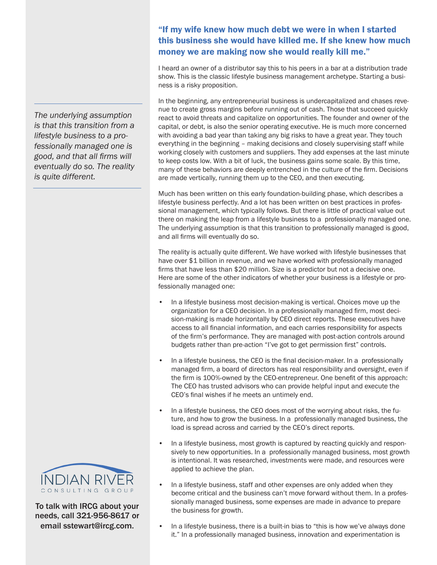*The underlying assumption is that this transition from a lifestyle business to a professionally managed one is good, and that all firms will eventually do so. The reality is quite different.*



To talk with IRCG about your needs, call 321-956-8617 or email sstewart@ircg.com.

## "If my wife knew how much debt we were in when I started this business she would have killed me. If she knew how much money we are making now she would really kill me."

I heard an owner of a distributor say this to his peers in a bar at a distribution trade show. This is the classic lifestyle business management archetype. Starting a business is a risky proposition.

In the beginning, any entrepreneurial business is undercapitalized and chases revenue to create gross margins before running out of cash. Those that succeed quickly react to avoid threats and capitalize on opportunities. The founder and owner of the capital, or debt, is also the senior operating executive. He is much more concerned with avoiding a bad year than taking any big risks to have a great year. They touch everything in the beginning – making decisions and closely supervising staff while working closely with customers and suppliers. They add expenses at the last minute to keep costs low. With a bit of luck, the business gains some scale. By this time, many of these behaviors are deeply entrenched in the culture of the firm. Decisions are made vertically, running them up to the CEO, and then executing.

Much has been written on this early foundation-building phase, which describes a lifestyle business perfectly. And a lot has been written on best practices in professional management, which typically follows. But there is little of practical value out there on making the leap from a lifestyle business to a professionally managed one. The underlying assumption is that this transition to professionally managed is good, and all firms will eventually do so.

The reality is actually quite different. We have worked with lifestyle businesses that have over \$1 billion in revenue, and we have worked with professionally managed firms that have less than \$20 million. Size is a predictor but not a decisive one. Here are some of the other indicators of whether your business is a lifestyle or professionally managed one:

- In a lifestyle business most decision-making is vertical. Choices move up the organization for a CEO decision. In a professionally managed firm, most decision-making is made horizontally by CEO direct reports. These executives have access to all financial information, and each carries responsibility for aspects of the firm's performance. They are managed with post-action controls around budgets rather than pre-action "I've got to get permission first" controls.
- In a lifestyle business, the CEO is the final decision-maker. In a professionally managed firm, a board of directors has real responsibility and oversight, even if the firm is 100%-owned by the CEO-entrepreneur. One benefit of this approach: The CEO has trusted advisors who can provide helpful input and execute the CEO's final wishes if he meets an untimely end.
- In a lifestyle business, the CEO does most of the worrying about risks, the future, and how to grow the business. In a professionally managed business, the load is spread across and carried by the CEO's direct reports.
- In a lifestyle business, most growth is captured by reacting quickly and responsively to new opportunities. In a professionally managed business, most growth is intentional. It was researched, investments were made, and resources were applied to achieve the plan.
- In a lifestyle business, staff and other expenses are only added when they become critical and the business can't move forward without them. In a professionally managed business, some expenses are made in advance to prepare the business for growth.
- In a lifestyle business, there is a built-in bias to "this is how we've always done it." In a professionally managed business, innovation and experimentation is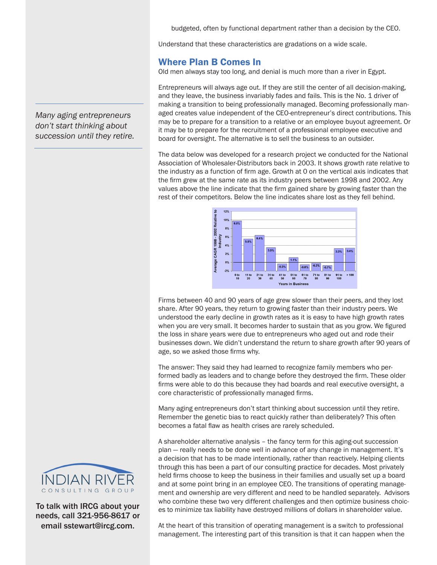budgeted, often by functional department rather than a decision by the CEO.

Understand that these characteristics are gradations on a wide scale.

### Where Plan B Comes In

Old men always stay too long, and denial is much more than a river in Egypt.

Entrepreneurs will always age out. If they are still the center of all decision-making, and they leave, the business invariably fades and fails. This is the No. 1 driver of making a transition to being professionally managed. Becoming professionally managed creates value independent of the CEO-entrepreneur's direct contributions. This may be to prepare for a transition to a relative or an employee buyout agreement. Or it may be to prepare for the recruitment of a professional employee executive and board for oversight. The alternative is to sell the business to an outsider.

The data below was developed for a research project we conducted for the National Association of Wholesaler-Distributors back in 2003. It shows growth rate relative to the industry as a function of firm age. Growth at 0 on the vertical axis indicates that the firm grew at the same rate as its industry peers between 1998 and 2002. Any values above the line indicate that the firm gained share by growing faster than the rest of their competitors. Below the line indicates share lost as they fell behind.



Firms between 40 and 90 years of age grew slower than their peers, and they lost share. After 90 years, they return to growing faster than their industry peers. We understood the early decline in growth rates as it is easy to have high growth rates when you are very small. It becomes harder to sustain that as you grow. We figured the loss in share years were due to entrepreneurs who aged out and rode their businesses down. We didn't understand the return to share growth after 90 years of age, so we asked those firms why.

The answer: They said they had learned to recognize family members who performed badly as leaders and to change before they destroyed the firm. These older firms were able to do this because they had boards and real executive oversight, a core characteristic of professionally managed firms.

Many aging entrepreneurs don't start thinking about succession until they retire. Remember the genetic bias to react quickly rather than deliberately? This often becomes a fatal flaw as health crises are rarely scheduled.

A shareholder alternative analysis – the fancy term for this aging-out succession plan — really needs to be done well in advance of any change in management. It's a decision that has to be made intentionally, rather than reactively. Helping clients through this has been a part of our consulting practice for decades. Most privately held firms choose to keep the business in their families and usually set up a board and at some point bring in an employee CEO. The transitions of operating management and ownership are very different and need to be handled separately. Advisors who combine these two very different challenges and then optimize business choices to minimize tax liability have destroyed millions of dollars in shareholder value.



To talk with IRCG about your needs, call 321-956-8617 or email sstewart@ircg.com.

At the heart of this transition of operating management is a switch to professional management. The interesting part of this transition is that it can happen when the

*Many aging entrepreneurs don't start thinking about succession until they retire.*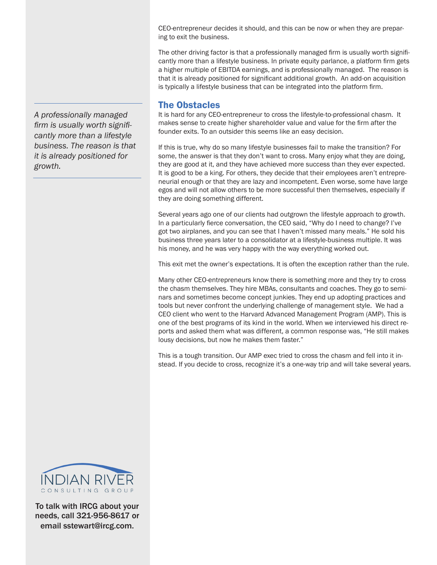CEO-entrepreneur decides it should, and this can be now or when they are preparing to exit the business.

The other driving factor is that a professionally managed firm is usually worth significantly more than a lifestyle business. In private equity parlance, a platform firm gets a higher multiple of EBITDA earnings, and is professionally managed. The reason is that it is already positioned for significant additional growth. An add-on acquisition is typically a lifestyle business that can be integrated into the platform firm.

#### The Obstacles

It is hard for any CEO-entrepreneur to cross the lifestyle-to-professional chasm. It makes sense to create higher shareholder value and value for the firm after the founder exits. To an outsider this seems like an easy decision.

If this is true, why do so many lifestyle businesses fail to make the transition? For some, the answer is that they don't want to cross. Many enjoy what they are doing, they are good at it, and they have achieved more success than they ever expected. It is good to be a king. For others, they decide that their employees aren't entrepreneurial enough or that they are lazy and incompetent. Even worse, some have large egos and will not allow others to be more successful then themselves, especially if they are doing something different.

Several years ago one of our clients had outgrown the lifestyle approach to growth. In a particularly fierce conversation, the CEO said, "Why do I need to change? I've got two airplanes, and you can see that I haven't missed many meals." He sold his business three years later to a consolidator at a lifestyle-business multiple. It was his money, and he was very happy with the way everything worked out.

This exit met the owner's expectations. It is often the exception rather than the rule.

Many other CEO-entrepreneurs know there is something more and they try to cross the chasm themselves. They hire MBAs, consultants and coaches. They go to seminars and sometimes become concept junkies. They end up adopting practices and tools but never confront the underlying challenge of management style. We had a CEO client who went to the Harvard Advanced Management Program (AMP). This is one of the best programs of its kind in the world. When we interviewed his direct reports and asked them what was different, a common response was, "He still makes lousy decisions, but now he makes them faster."

This is a tough transition. Our AMP exec tried to cross the chasm and fell into it instead. If you decide to cross, recognize it's a one-way trip and will take several years.



To talk with IRCG about your needs, call 321-956-8617 or email sstewart@ircg.com.

*A professionally managed firm is usually worth significantly more than a lifestyle business. The reason is that it is already positioned for growth.*